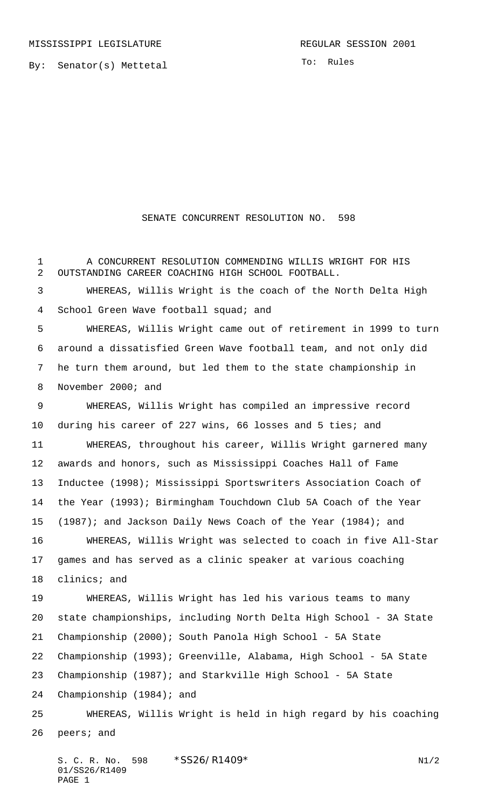By: Senator(s) Mettetal

To: Rules

## SENATE CONCURRENT RESOLUTION NO. 598

 A CONCURRENT RESOLUTION COMMENDING WILLIS WRIGHT FOR HIS OUTSTANDING CAREER COACHING HIGH SCHOOL FOOTBALL. WHEREAS, Willis Wright is the coach of the North Delta High 4 School Green Wave football squad; and WHEREAS, Willis Wright came out of retirement in 1999 to turn around a dissatisfied Green Wave football team, and not only did he turn them around, but led them to the state championship in November 2000; and WHEREAS, Willis Wright has compiled an impressive record during his career of 227 wins, 66 losses and 5 ties; and WHEREAS, throughout his career, Willis Wright garnered many awards and honors, such as Mississippi Coaches Hall of Fame Inductee (1998); Mississippi Sportswriters Association Coach of the Year (1993); Birmingham Touchdown Club 5A Coach of the Year (1987); and Jackson Daily News Coach of the Year (1984); and WHEREAS, Willis Wright was selected to coach in five All-Star games and has served as a clinic speaker at various coaching clinics; and WHEREAS, Willis Wright has led his various teams to many state championships, including North Delta High School - 3A State Championship (2000); South Panola High School - 5A State Championship (1993); Greenville, Alabama, High School - 5A State Championship (1987); and Starkville High School - 5A State Championship (1984); and WHEREAS, Willis Wright is held in high regard by his coaching peers; and

S. C. R. No. \*SS26/R1409\* N1/2 01/SS26/R1409 PAGE 1